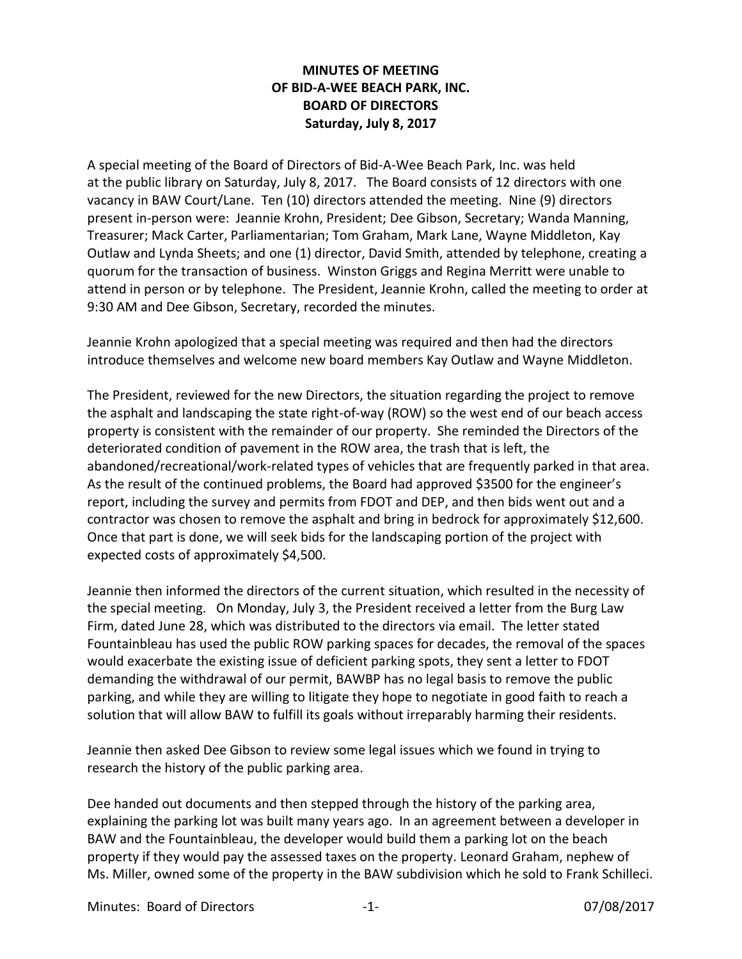## **MINUTES OF MEETING OF BID-A-WEE BEACH PARK, INC. BOARD OF DIRECTORS Saturday, July 8, 2017**

A special meeting of the Board of Directors of Bid-A-Wee Beach Park, Inc. was held at the public library on Saturday, July 8, 2017. The Board consists of 12 directors with one vacancy in BAW Court/Lane. Ten (10) directors attended the meeting. Nine (9) directors present in-person were: Jeannie Krohn, President; Dee Gibson, Secretary; Wanda Manning, Treasurer; Mack Carter, Parliamentarian; Tom Graham, Mark Lane, Wayne Middleton, Kay Outlaw and Lynda Sheets; and one (1) director, David Smith, attended by telephone, creating a quorum for the transaction of business. Winston Griggs and Regina Merritt were unable to attend in person or by telephone. The President, Jeannie Krohn, called the meeting to order at 9:30 AM and Dee Gibson, Secretary, recorded the minutes.

Jeannie Krohn apologized that a special meeting was required and then had the directors introduce themselves and welcome new board members Kay Outlaw and Wayne Middleton.

The President, reviewed for the new Directors, the situation regarding the project to remove the asphalt and landscaping the state right-of-way (ROW) so the west end of our beach access property is consistent with the remainder of our property. She reminded the Directors of the deteriorated condition of pavement in the ROW area, the trash that is left, the abandoned/recreational/work-related types of vehicles that are frequently parked in that area. As the result of the continued problems, the Board had approved \$3500 for the engineer's report, including the survey and permits from FDOT and DEP, and then bids went out and a contractor was chosen to remove the asphalt and bring in bedrock for approximately \$12,600. Once that part is done, we will seek bids for the landscaping portion of the project with expected costs of approximately \$4,500.

Jeannie then informed the directors of the current situation, which resulted in the necessity of the special meeting. On Monday, July 3, the President received a letter from the Burg Law Firm, dated June 28, which was distributed to the directors via email. The letter stated Fountainbleau has used the public ROW parking spaces for decades, the removal of the spaces would exacerbate the existing issue of deficient parking spots, they sent a letter to FDOT demanding the withdrawal of our permit, BAWBP has no legal basis to remove the public parking, and while they are willing to litigate they hope to negotiate in good faith to reach a solution that will allow BAW to fulfill its goals without irreparably harming their residents.

Jeannie then asked Dee Gibson to review some legal issues which we found in trying to research the history of the public parking area.

Dee handed out documents and then stepped through the history of the parking area, explaining the parking lot was built many years ago. In an agreement between a developer in BAW and the Fountainbleau, the developer would build them a parking lot on the beach property if they would pay the assessed taxes on the property. Leonard Graham, nephew of Ms. Miller, owned some of the property in the BAW subdivision which he sold to Frank Schilleci.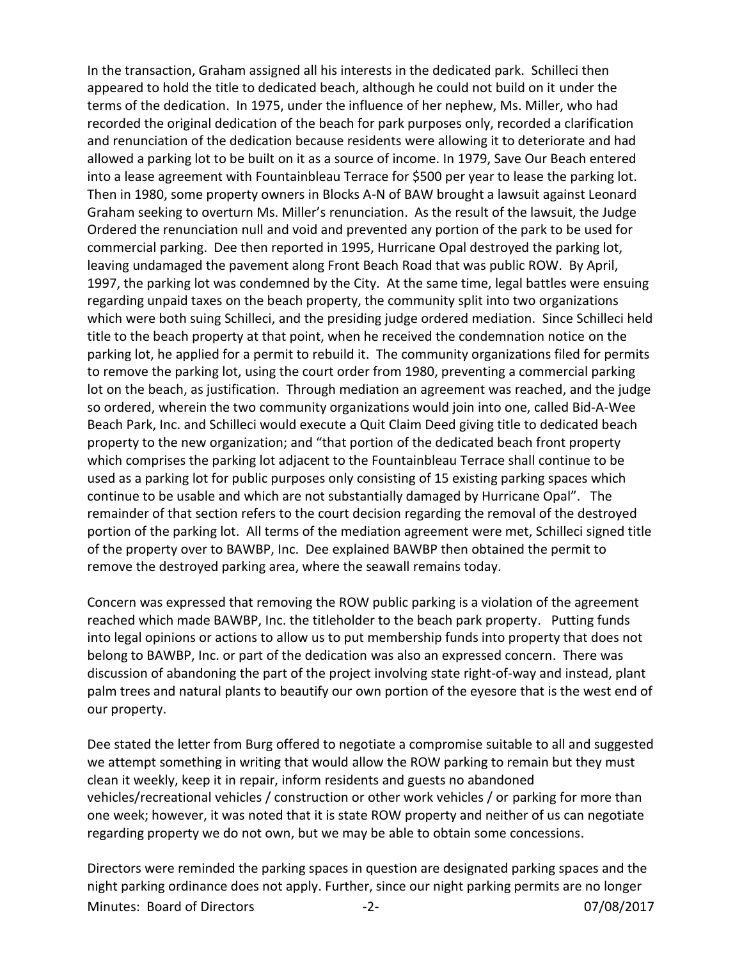In the transaction, Graham assigned all his interests in the dedicated park. Schilleci then appeared to hold the title to dedicated beach, although he could not build on it under the terms of the dedication. In 1975, under the influence of her nephew, Ms. Miller, who had recorded the original dedication of the beach for park purposes only, recorded a clarification and renunciation of the dedication because residents were allowing it to deteriorate and had allowed a parking lot to be built on it as a source of income. In 1979, Save Our Beach entered into a lease agreement with Fountainbleau Terrace for \$500 per year to lease the parking lot. Then in 1980, some property owners in Blocks A-N of BAW brought a lawsuit against Leonard Graham seeking to overturn Ms. Miller's renunciation. As the result of the lawsuit, the Judge Ordered the renunciation null and void and prevented any portion of the park to be used for commercial parking. Dee then reported in 1995, Hurricane Opal destroyed the parking lot, leaving undamaged the pavement along Front Beach Road that was public ROW. By April, 1997, the parking lot was condemned by the City. At the same time, legal battles were ensuing regarding unpaid taxes on the beach property, the community split into two organizations which were both suing Schilleci, and the presiding judge ordered mediation. Since Schilleci held title to the beach property at that point, when he received the condemnation notice on the parking lot, he applied for a permit to rebuild it. The community organizations filed for permits to remove the parking lot, using the court order from 1980, preventing a commercial parking lot on the beach, as justification. Through mediation an agreement was reached, and the judge so ordered, wherein the two community organizations would join into one, called Bid-A-Wee Beach Park, Inc. and Schilleci would execute a Quit Claim Deed giving title to dedicated beach property to the new organization; and "that portion of the dedicated beach front property which comprises the parking lot adjacent to the Fountainbleau Terrace shall continue to be used as a parking lot for public purposes only consisting of 15 existing parking spaces which continue to be usable and which are not substantially damaged by Hurricane Opal". The remainder of that section refers to the court decision regarding the removal of the destroyed portion of the parking lot. All terms of the mediation agreement were met, Schilleci signed title of the property over to BAWBP, Inc. Dee explained BAWBP then obtained the permit to remove the destroyed parking area, where the seawall remains today.

Concern was expressed that removing the ROW public parking is a violation of the agreement reached which made BAWBP, Inc. the titleholder to the beach park property. Putting funds into legal opinions or actions to allow us to put membership funds into property that does not belong to BAWBP, Inc. or part of the dedication was also an expressed concern. There was discussion of abandoning the part of the project involving state right-of-way and instead, plant palm trees and natural plants to beautify our own portion of the eyesore that is the west end of our property.

Dee stated the letter from Burg offered to negotiate a compromise suitable to all and suggested we attempt something in writing that would allow the ROW parking to remain but they must clean it weekly, keep it in repair, inform residents and guests no abandoned vehicles/recreational vehicles / construction or other work vehicles / or parking for more than one week; however, it was noted that it is state ROW property and neither of us can negotiate regarding property we do not own, but we may be able to obtain some concessions.

Minutes: Board of Directors -2- 07/08/2017 Directors were reminded the parking spaces in question are designated parking spaces and the night parking ordinance does not apply. Further, since our night parking permits are no longer